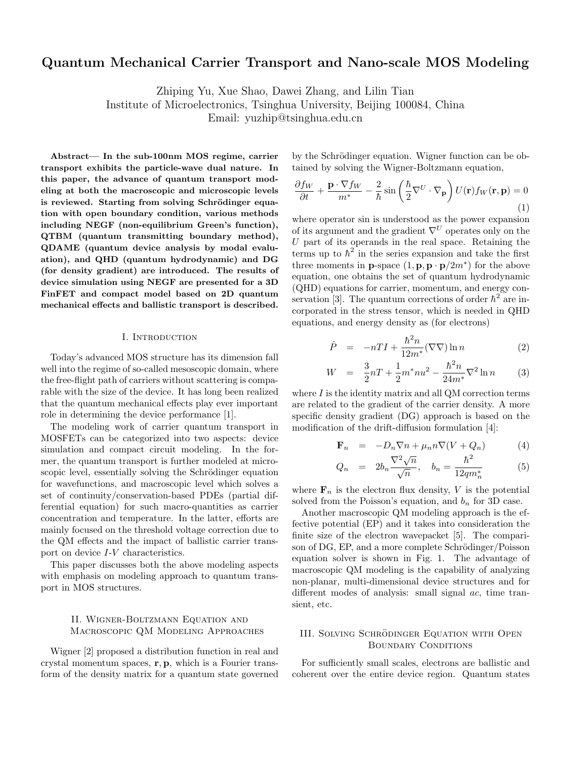# **Quantum Mechanical Carrier Transport and Nano-scale MOS Modeling**

Zhiping Yu, Xue Shao, Dawei Zhang, and Lilin Tian

Institute of Microelectronics, Tsinghua University, Beijing 100084, China

Email: yuzhip@tsinghua.edu.cn

**Abstract— In the sub-100nm MOS regime, carrier transport exhibits the particle-wave dual nature. In this paper, the advance of quantum transport modeling at both the macroscopic and microscopic levels** is reviewed. Starting from solving Schrödinger equa**tion with open boundary condition, various methods including NEGF (non-equilibrium Green's function), QTBM (quantum transmitting boundary method), QDAME (quantum device analysis by modal evaluation), and QHD (quantum hydrodynamic) and DG (for density gradient) are introduced. The results of device simulation using NEGF are presented for a 3D FinFET and compact model based on 2D quantum mechanical effects and ballistic transport is described.**

#### I. INTRODUCTION

Today's advanced MOS structure has its dimension fall well into the regime of so-called mesoscopic domain, where the free-flight path of carriers without scattering is comparable with the size of the device. It has long been realized that the quantum mechanical effects play ever important role in determining the device performance [1].

The modeling work of carrier quantum transport in MOSFETs can be categorized into two aspects: device simulation and compact circuit modeling. In the former, the quantum transport is further modeled at microscopic level, essentially solving the Schrödinger equation for wavefunctions, and macroscopic level which solves a set of continuity/conservation-based PDEs (partial differential equation) for such macro-quantities as carrier concentration and temperature. In the latter, efforts are mainly focused on the threshold voltage correction due to the QM effects and the impact of ballistic carrier transport on device I-V characteristics.

This paper discusses both the above modeling aspects with emphasis on modeling approach to quantum transport in MOS structures.

### II. Wigner-Boltzmann Equation and Macroscopic QM Modeling Approaches

Wigner [2] proposed a distribution function in real and crystal momentum spaces, **r**, **p**, which is a Fourier transform of the density matrix for a quantum state governed by the Schrödinger equation. Wigner function can be obtained by solving the Wigner-Boltzmann equation,

$$
\frac{\partial f_W}{\partial t} + \frac{\mathbf{p} \cdot \nabla f_W}{m^*} - \frac{2}{\hbar} \sin\left(\frac{\hbar}{2} \nabla^U \cdot \nabla_\mathbf{p}\right) U(\mathbf{r}) f_W(\mathbf{r}, \mathbf{p}) = 0
$$
\n(1)

where operator sin is understood as the power expansion of its argument and the gradient <sup>∇</sup>*<sup>U</sup>* operates only on the  $U$  part of its operands in the real space. Retaining the terms up to  $\hbar^2$  in the series expansion and take the first three moments in **p**-space  $(1, \mathbf{p}, \mathbf{p} \cdot \mathbf{p}/2m^*)$  for the above equation, one obtains the set of quantum hydrodynamic (QHD) equations for carrier, momentum, and energy conservation [3]. The quantum corrections of order  $\hbar^2$  are incorporated in the stress tensor, which is needed in QHD equations, and energy density as (for electrons)

$$
\hat{P} = -nTI + \frac{\hbar^2 n}{12m^*} (\nabla \nabla) \ln n \tag{2}
$$

$$
W = \frac{3}{2}nT + \frac{1}{2}m^*nu^2 - \frac{\hbar^2 n}{24m^*}\nabla^2 \ln n \qquad (3)
$$

where  $I$  is the identity matrix and all QM correction terms are related to the gradient of the carrier density. A more specific density gradient (DG) approach is based on the modification of the drift-diffusion formulation [4]:

$$
\mathbf{F}_n = -D_n \nabla n + \mu_n n \nabla (V + Q_n) \tag{4}
$$

$$
Q_n = 2b_n \frac{\nabla^2 \sqrt{n}}{\sqrt{n}}, \quad b_n = \frac{\hbar^2}{12qm_n^*}
$$
 (5)

where  $\mathbf{F}_n$  is the electron flux density, V is the potential solved from the Poisson's equation, and  $b_n$  for 3D case.

Another macroscopic QM modeling approach is the effective potential (EP) and it takes into consideration the finite size of the electron wavepacket [5]. The comparison of DG, EP, and a more complete Schrödinger/Poisson equation solver is shown in Fig. 1. The advantage of macroscopic QM modeling is the capability of analyzing non-planar, multi-dimensional device structures and for different modes of analysis: small signal ac, time transient, etc.

# III. SOLVING SCHRÖDINGER EQUATION WITH OPEN BOUNDARY CONDITIONS

For sufficiently small scales, electrons are ballistic and coherent over the entire device region. Quantum states